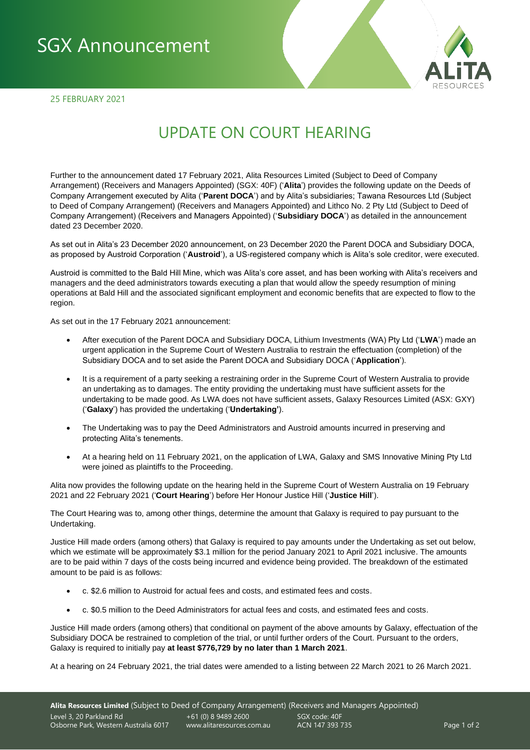## SGX Announcement

25 FEBRUARY 2021



## UPDATE ON COURT HEARING

Further to the announcement dated 17 February 2021, Alita Resources Limited (Subject to Deed of Company Arrangement) (Receivers and Managers Appointed) (SGX: 40F) ('**Alita**') provides the following update on the Deeds of Company Arrangement executed by Alita ('**Parent DOCA**') and by Alita's subsidiaries; Tawana Resources Ltd (Subject to Deed of Company Arrangement) (Receivers and Managers Appointed) and Lithco No. 2 Pty Ltd (Subject to Deed of Company Arrangement) (Receivers and Managers Appointed) ('**Subsidiary DOCA**') as detailed in the announcement dated 23 December 2020.

As set out in Alita's 23 December 2020 announcement, on 23 December 2020 the Parent DOCA and Subsidiary DOCA, as proposed by Austroid Corporation ('**Austroid**'), a US-registered company which is Alita's sole creditor, were executed.

Austroid is committed to the Bald Hill Mine, which was Alita's core asset, and has been working with Alita's receivers and managers and the deed administrators towards executing a plan that would allow the speedy resumption of mining operations at Bald Hill and the associated significant employment and economic benefits that are expected to flow to the region.

As set out in the 17 February 2021 announcement:

- After execution of the Parent DOCA and Subsidiary DOCA, Lithium Investments (WA) Pty Ltd ('**LWA**') made an urgent application in the Supreme Court of Western Australia to restrain the effectuation (completion) of the Subsidiary DOCA and to set aside the Parent DOCA and Subsidiary DOCA ('**Application**').
- It is a requirement of a party seeking a restraining order in the Supreme Court of Western Australia to provide an undertaking as to damages. The entity providing the undertaking must have sufficient assets for the undertaking to be made good. As LWA does not have sufficient assets, Galaxy Resources Limited (ASX: GXY) ('**Galaxy**') has provided the undertaking ('**Undertaking'**).
- The Undertaking was to pay the Deed Administrators and Austroid amounts incurred in preserving and protecting Alita's tenements.
- At a hearing held on 11 February 2021, on the application of LWA, Galaxy and SMS Innovative Mining Pty Ltd were joined as plaintiffs to the Proceeding.

Alita now provides the following update on the hearing held in the Supreme Court of Western Australia on 19 February 2021 and 22 February 2021 ('**Court Hearing**') before Her Honour Justice Hill ('**Justice Hill**').

The Court Hearing was to, among other things, determine the amount that Galaxy is required to pay pursuant to the Undertaking.

Justice Hill made orders (among others) that Galaxy is required to pay amounts under the Undertaking as set out below, which we estimate will be approximately \$3.1 million for the period January 2021 to April 2021 inclusive. The amounts are to be paid within 7 days of the costs being incurred and evidence being provided. The breakdown of the estimated amount to be paid is as follows:

- c. \$2.6 million to Austroid for actual fees and costs, and estimated fees and costs.
- c. \$0.5 million to the Deed Administrators for actual fees and costs, and estimated fees and costs.

Justice Hill made orders (among others) that conditional on payment of the above amounts by Galaxy, effectuation of the Subsidiary DOCA be restrained to completion of the trial, or until further orders of the Court. Pursuant to the orders, Galaxy is required to initially pay **at least \$776,729 by no later than 1 March 2021**.

At a hearing on 24 February 2021, the trial dates were amended to a listing between 22 March 2021 to 26 March 2021.